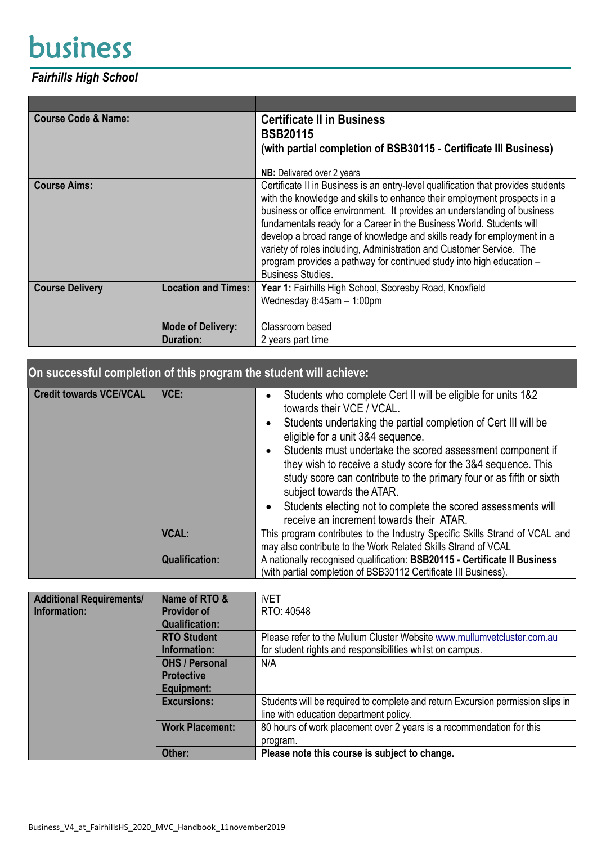## business

## *Fairhills High School*

| <b>Course Code &amp; Name:</b> |                            | <b>Certificate II in Business</b><br><b>BSB20115</b><br>(with partial completion of BSB30115 - Certificate III Business)                                                                                                                                                                                                                                                                                                                                                                                                                                                 |  |
|--------------------------------|----------------------------|--------------------------------------------------------------------------------------------------------------------------------------------------------------------------------------------------------------------------------------------------------------------------------------------------------------------------------------------------------------------------------------------------------------------------------------------------------------------------------------------------------------------------------------------------------------------------|--|
|                                |                            | <b>NB:</b> Delivered over 2 years                                                                                                                                                                                                                                                                                                                                                                                                                                                                                                                                        |  |
| <b>Course Aims:</b>            |                            | Certificate II in Business is an entry-level qualification that provides students<br>with the knowledge and skills to enhance their employment prospects in a<br>business or office environment. It provides an understanding of business<br>fundamentals ready for a Career in the Business World. Students will<br>develop a broad range of knowledge and skills ready for employment in a<br>variety of roles including, Administration and Customer Service. The<br>program provides a pathway for continued study into high education -<br><b>Business Studies.</b> |  |
| <b>Course Delivery</b>         | <b>Location and Times:</b> | Year 1: Fairhills High School, Scoresby Road, Knoxfield                                                                                                                                                                                                                                                                                                                                                                                                                                                                                                                  |  |
|                                |                            | Wednesday 8:45am - 1:00pm                                                                                                                                                                                                                                                                                                                                                                                                                                                                                                                                                |  |
|                                | <b>Mode of Delivery:</b>   | Classroom based                                                                                                                                                                                                                                                                                                                                                                                                                                                                                                                                                          |  |
|                                | <b>Duration:</b>           | 2 years part time                                                                                                                                                                                                                                                                                                                                                                                                                                                                                                                                                        |  |

| On successful completion of this program the student will achieve: |                       |                                                                                                                                                                                                                                                                                                                                                                                                                                                                                                                                                                |  |
|--------------------------------------------------------------------|-----------------------|----------------------------------------------------------------------------------------------------------------------------------------------------------------------------------------------------------------------------------------------------------------------------------------------------------------------------------------------------------------------------------------------------------------------------------------------------------------------------------------------------------------------------------------------------------------|--|
| <b>Credit towards VCE/VCAL</b>                                     | VCE:                  | Students who complete Cert II will be eligible for units 1&2<br>$\bullet$<br>towards their VCE / VCAL.<br>Students undertaking the partial completion of Cert III will be<br>eligible for a unit 3&4 sequence.<br>Students must undertake the scored assessment component if<br>they wish to receive a study score for the 3&4 sequence. This<br>study score can contribute to the primary four or as fifth or sixth<br>subject towards the ATAR.<br>Students electing not to complete the scored assessments will<br>receive an increment towards their ATAR. |  |
|                                                                    | <b>VCAL:</b>          | This program contributes to the Industry Specific Skills Strand of VCAL and<br>may also contribute to the Work Related Skills Strand of VCAL                                                                                                                                                                                                                                                                                                                                                                                                                   |  |
|                                                                    | <b>Qualification:</b> | A nationally recognised qualification: BSB20115 - Certificate II Business<br>(with partial completion of BSB30112 Certificate III Business).                                                                                                                                                                                                                                                                                                                                                                                                                   |  |
|                                                                    |                       |                                                                                                                                                                                                                                                                                                                                                                                                                                                                                                                                                                |  |

| <b>Additional Requirements/</b> | Name of RTO &          | iVET                                                                           |
|---------------------------------|------------------------|--------------------------------------------------------------------------------|
| Information:                    | <b>Provider of</b>     | RTO: 40548                                                                     |
|                                 | <b>Qualification:</b>  |                                                                                |
|                                 | <b>RTO Student</b>     | Please refer to the Mullum Cluster Website www.mullumvetcluster.com.au         |
|                                 | Information:           | for student rights and responsibilities whilst on campus.                      |
|                                 | <b>OHS / Personal</b>  | N/A                                                                            |
|                                 | <b>Protective</b>      |                                                                                |
|                                 | Equipment:             |                                                                                |
|                                 | <b>Excursions:</b>     | Students will be required to complete and return Excursion permission slips in |
|                                 |                        | line with education department policy.                                         |
|                                 | <b>Work Placement:</b> | 80 hours of work placement over 2 years is a recommendation for this           |
|                                 |                        | program.                                                                       |
|                                 | Other:                 | Please note this course is subject to change.                                  |